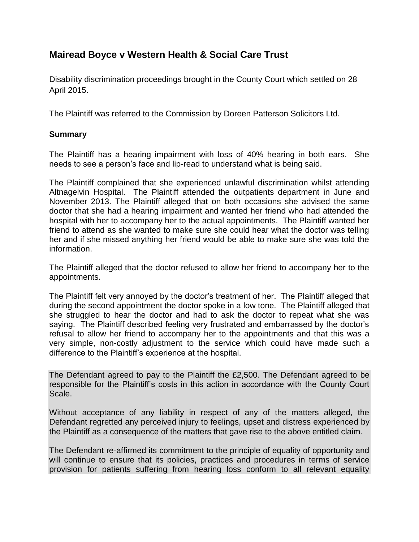## **Mairead Boyce v Western Health & Social Care Trust**

Disability discrimination proceedings brought in the County Court which settled on 28 April 2015.

The Plaintiff was referred to the Commission by Doreen Patterson Solicitors Ltd.

## **Summary**

The Plaintiff has a hearing impairment with loss of 40% hearing in both ears. She needs to see a person's face and lip-read to understand what is being said.

The Plaintiff complained that she experienced unlawful discrimination whilst attending Altnagelvin Hospital. The Plaintiff attended the outpatients department in June and November 2013. The Plaintiff alleged that on both occasions she advised the same doctor that she had a hearing impairment and wanted her friend who had attended the hospital with her to accompany her to the actual appointments. The Plaintiff wanted her friend to attend as she wanted to make sure she could hear what the doctor was telling her and if she missed anything her friend would be able to make sure she was told the information.

The Plaintiff alleged that the doctor refused to allow her friend to accompany her to the appointments.

The Plaintiff felt very annoyed by the doctor's treatment of her. The Plaintiff alleged that during the second appointment the doctor spoke in a low tone. The Plaintiff alleged that she struggled to hear the doctor and had to ask the doctor to repeat what she was saying. The Plaintiff described feeling very frustrated and embarrassed by the doctor's refusal to allow her friend to accompany her to the appointments and that this was a very simple, non-costly adjustment to the service which could have made such a difference to the Plaintiff's experience at the hospital.

The Defendant agreed to pay to the Plaintiff the £2,500. The Defendant agreed to be responsible for the Plaintiff's costs in this action in accordance with the County Court Scale.

Without acceptance of any liability in respect of any of the matters alleged, the Defendant regretted any perceived injury to feelings, upset and distress experienced by the Plaintiff as a consequence of the matters that gave rise to the above entitled claim.

The Defendant re-affirmed its commitment to the principle of equality of opportunity and will continue to ensure that its policies, practices and procedures in terms of service provision for patients suffering from hearing loss conform to all relevant equality